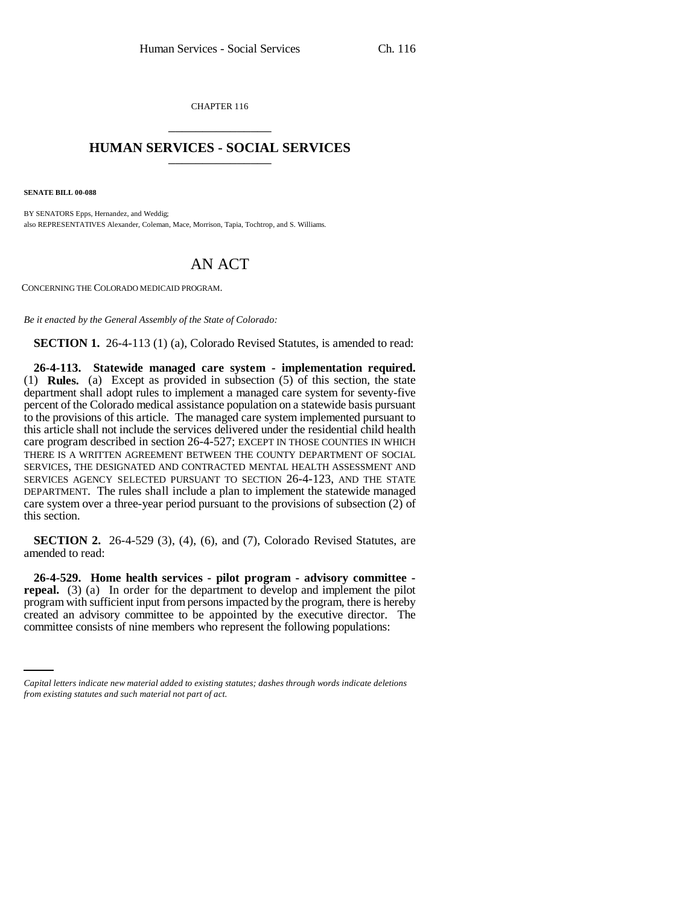CHAPTER 116 \_\_\_\_\_\_\_\_\_\_\_\_\_\_\_

## **HUMAN SERVICES - SOCIAL SERVICES** \_\_\_\_\_\_\_\_\_\_\_\_\_\_\_

**SENATE BILL 00-088** 

BY SENATORS Epps, Hernandez, and Weddig; also REPRESENTATIVES Alexander, Coleman, Mace, Morrison, Tapia, Tochtrop, and S. Williams.

## AN ACT

CONCERNING THE COLORADO MEDICAID PROGRAM.

*Be it enacted by the General Assembly of the State of Colorado:*

**SECTION 1.** 26-4-113 (1) (a), Colorado Revised Statutes, is amended to read:

**26-4-113. Statewide managed care system - implementation required.** (1) **Rules.** (a) Except as provided in subsection (5) of this section, the state department shall adopt rules to implement a managed care system for seventy-five percent of the Colorado medical assistance population on a statewide basis pursuant to the provisions of this article. The managed care system implemented pursuant to this article shall not include the services delivered under the residential child health care program described in section 26-4-527; EXCEPT IN THOSE COUNTIES IN WHICH THERE IS A WRITTEN AGREEMENT BETWEEN THE COUNTY DEPARTMENT OF SOCIAL SERVICES, THE DESIGNATED AND CONTRACTED MENTAL HEALTH ASSESSMENT AND SERVICES AGENCY SELECTED PURSUANT TO SECTION 26-4-123, AND THE STATE DEPARTMENT. The rules shall include a plan to implement the statewide managed care system over a three-year period pursuant to the provisions of subsection (2) of this section.

**SECTION 2.** 26-4-529 (3), (4), (6), and (7), Colorado Revised Statutes, are amended to read:

created an advisory committee to be appointed by the executive director. The **26-4-529. Home health services - pilot program - advisory committee repeal.** (3) (a) In order for the department to develop and implement the pilot program with sufficient input from persons impacted by the program, there is hereby committee consists of nine members who represent the following populations:

*Capital letters indicate new material added to existing statutes; dashes through words indicate deletions from existing statutes and such material not part of act.*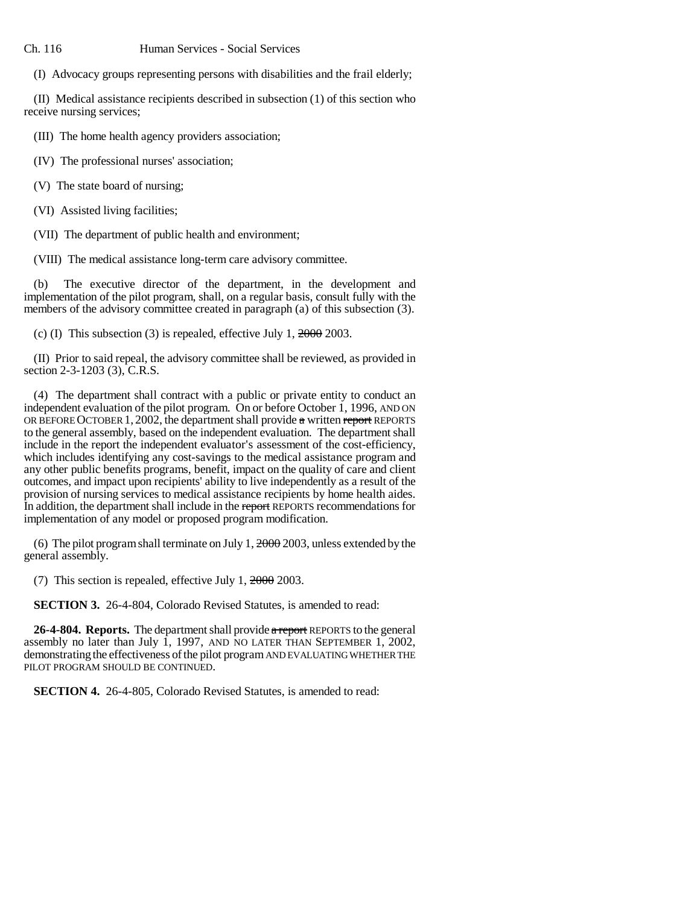(I) Advocacy groups representing persons with disabilities and the frail elderly;

(II) Medical assistance recipients described in subsection (1) of this section who receive nursing services;

(III) The home health agency providers association;

(IV) The professional nurses' association;

(V) The state board of nursing;

(VI) Assisted living facilities;

(VII) The department of public health and environment;

(VIII) The medical assistance long-term care advisory committee.

(b) The executive director of the department, in the development and implementation of the pilot program, shall, on a regular basis, consult fully with the members of the advisory committee created in paragraph (a) of this subsection (3).

(c) (I) This subsection (3) is repealed, effective July 1,  $2000$  2003.

(II) Prior to said repeal, the advisory committee shall be reviewed, as provided in section 2-3-1203 (3), C.R.S.

(4) The department shall contract with a public or private entity to conduct an independent evaluation of the pilot program. On or before October 1, 1996, AND ON OR BEFORE OCTOBER 1, 2002, the department shall provide  $\alpha$  written report REPORTS to the general assembly, based on the independent evaluation. The department shall include in the report the independent evaluator's assessment of the cost-efficiency, which includes identifying any cost-savings to the medical assistance program and any other public benefits programs, benefit, impact on the quality of care and client outcomes, and impact upon recipients' ability to live independently as a result of the provision of nursing services to medical assistance recipients by home health aides. In addition, the department shall include in the report REPORTS recommendations for implementation of any model or proposed program modification.

(6) The pilot program shall terminate on July 1, 2000 2003, unless extended by the general assembly.

(7) This section is repealed, effective July 1, 2000 2003.

**SECTION 3.** 26-4-804, Colorado Revised Statutes, is amended to read:

26-4-804. Reports. The department shall provide a report REPORTS to the general assembly no later than July 1, 1997, AND NO LATER THAN SEPTEMBER 1, 2002, demonstrating the effectiveness of the pilot program AND EVALUATING WHETHER THE PILOT PROGRAM SHOULD BE CONTINUED.

**SECTION 4.** 26-4-805, Colorado Revised Statutes, is amended to read: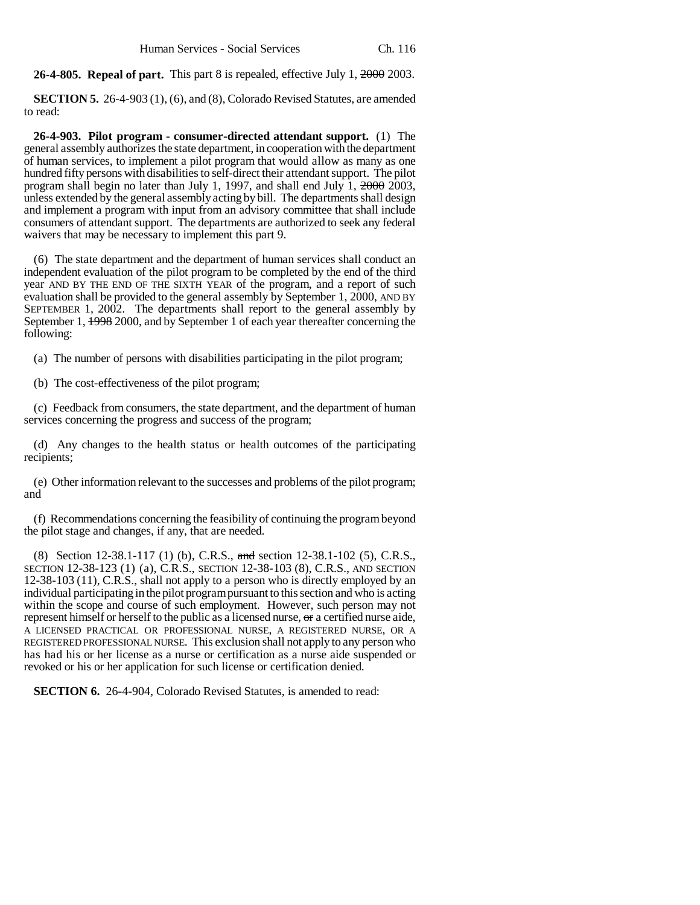**26-4-805. Repeal of part.** This part 8 is repealed, effective July 1, 2000 2003.

**SECTION 5.** 26-4-903 (1), (6), and (8), Colorado Revised Statutes, are amended to read:

**26-4-903. Pilot program - consumer-directed attendant support.** (1) The general assembly authorizes the state department, in cooperation with the department of human services, to implement a pilot program that would allow as many as one hundred fifty persons with disabilities to self-direct their attendant support. The pilot program shall begin no later than July 1, 1997, and shall end July 1, 2000 2003, unless extended by the general assembly acting by bill. The departments shall design and implement a program with input from an advisory committee that shall include consumers of attendant support. The departments are authorized to seek any federal waivers that may be necessary to implement this part 9.

(6) The state department and the department of human services shall conduct an independent evaluation of the pilot program to be completed by the end of the third year AND BY THE END OF THE SIXTH YEAR of the program, and a report of such evaluation shall be provided to the general assembly by September 1, 2000, AND BY SEPTEMBER 1, 2002. The departments shall report to the general assembly by September 1, 1998 2000, and by September 1 of each year thereafter concerning the following:

(a) The number of persons with disabilities participating in the pilot program;

(b) The cost-effectiveness of the pilot program;

(c) Feedback from consumers, the state department, and the department of human services concerning the progress and success of the program;

(d) Any changes to the health status or health outcomes of the participating recipients;

(e) Other information relevant to the successes and problems of the pilot program; and

(f) Recommendations concerning the feasibility of continuing the program beyond the pilot stage and changes, if any, that are needed.

(8) Section 12-38.1-117 (1) (b), C.R.S., and section 12-38.1-102 (5), C.R.S., SECTION 12-38-123 (1) (a), C.R.S., SECTION 12-38-103 (8), C.R.S., AND SECTION 12-38-103 (11), C.R.S., shall not apply to a person who is directly employed by an individual participating in the pilot program pursuant to this section and who is acting within the scope and course of such employment. However, such person may not represent himself or herself to the public as a licensed nurse, or a certified nurse aide, A LICENSED PRACTICAL OR PROFESSIONAL NURSE, A REGISTERED NURSE, OR A REGISTERED PROFESSIONAL NURSE. This exclusion shall not apply to any person who has had his or her license as a nurse or certification as a nurse aide suspended or revoked or his or her application for such license or certification denied.

**SECTION 6.** 26-4-904, Colorado Revised Statutes, is amended to read: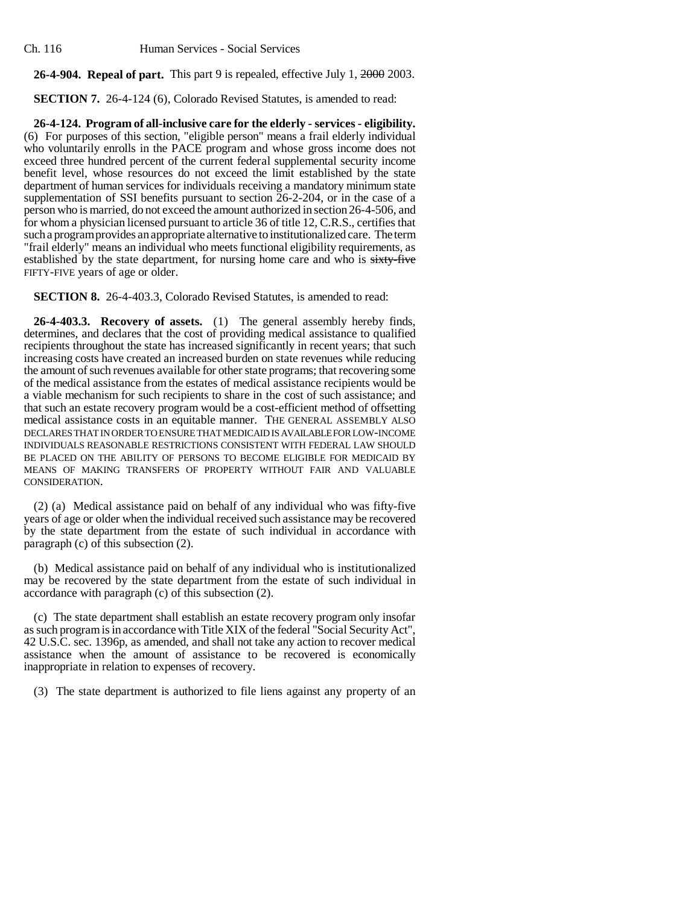Ch. 116 Human Services - Social Services

## **26-4-904. Repeal of part.** This part 9 is repealed, effective July 1, 2000 2003.

**SECTION 7.** 26-4-124 (6), Colorado Revised Statutes, is amended to read:

**26-4-124. Program of all-inclusive care for the elderly - services - eligibility.** (6) For purposes of this section, "eligible person" means a frail elderly individual who voluntarily enrolls in the PACE program and whose gross income does not exceed three hundred percent of the current federal supplemental security income benefit level, whose resources do not exceed the limit established by the state department of human services for individuals receiving a mandatory minimum state supplementation of SSI benefits pursuant to section 26-2-204, or in the case of a person who is married, do not exceed the amount authorized in section 26-4-506, and for whom a physician licensed pursuant to article 36 of title 12, C.R.S., certifies that such a program provides an appropriate alternative to institutionalized care. The term "frail elderly" means an individual who meets functional eligibility requirements, as established by the state department, for nursing home care and who is sixty-five FIFTY-FIVE years of age or older.

**SECTION 8.** 26-4-403.3, Colorado Revised Statutes, is amended to read:

**26-4-403.3. Recovery of assets.** (1) The general assembly hereby finds, determines, and declares that the cost of providing medical assistance to qualified recipients throughout the state has increased significantly in recent years; that such increasing costs have created an increased burden on state revenues while reducing the amount of such revenues available for other state programs; that recovering some of the medical assistance from the estates of medical assistance recipients would be a viable mechanism for such recipients to share in the cost of such assistance; and that such an estate recovery program would be a cost-efficient method of offsetting medical assistance costs in an equitable manner. THE GENERAL ASSEMBLY ALSO DECLARES THAT IN ORDER TO ENSURE THAT MEDICAID IS AVAILABLE FOR LOW-INCOME INDIVIDUALS REASONABLE RESTRICTIONS CONSISTENT WITH FEDERAL LAW SHOULD BE PLACED ON THE ABILITY OF PERSONS TO BECOME ELIGIBLE FOR MEDICAID BY MEANS OF MAKING TRANSFERS OF PROPERTY WITHOUT FAIR AND VALUABLE CONSIDERATION.

(2) (a) Medical assistance paid on behalf of any individual who was fifty-five years of age or older when the individual received such assistance may be recovered by the state department from the estate of such individual in accordance with paragraph (c) of this subsection (2).

(b) Medical assistance paid on behalf of any individual who is institutionalized may be recovered by the state department from the estate of such individual in accordance with paragraph (c) of this subsection (2).

(c) The state department shall establish an estate recovery program only insofar as such program is in accordance with Title XIX of the federal "Social Security Act", 42 U.S.C. sec. 1396p, as amended, and shall not take any action to recover medical assistance when the amount of assistance to be recovered is economically inappropriate in relation to expenses of recovery.

(3) The state department is authorized to file liens against any property of an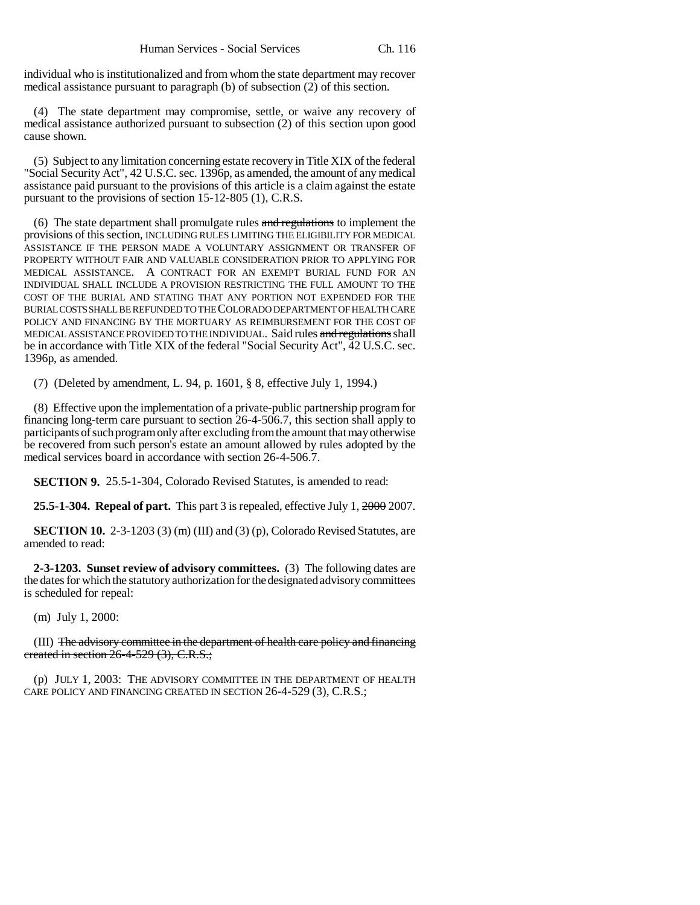individual who is institutionalized and from whom the state department may recover medical assistance pursuant to paragraph  $(b)$  of subsection  $(2)$  of this section.

(4) The state department may compromise, settle, or waive any recovery of medical assistance authorized pursuant to subsection (2) of this section upon good cause shown.

(5) Subject to any limitation concerning estate recovery in Title XIX of the federal "Social Security Act", 42 U.S.C. sec. 1396p, as amended, the amount of any medical assistance paid pursuant to the provisions of this article is a claim against the estate pursuant to the provisions of section 15-12-805 (1), C.R.S.

(6) The state department shall promulgate rules  $\frac{1}{2}$  and regulations to implement the provisions of this section, INCLUDING RULES LIMITING THE ELIGIBILITY FOR MEDICAL ASSISTANCE IF THE PERSON MADE A VOLUNTARY ASSIGNMENT OR TRANSFER OF PROPERTY WITHOUT FAIR AND VALUABLE CONSIDERATION PRIOR TO APPLYING FOR MEDICAL ASSISTANCE. A CONTRACT FOR AN EXEMPT BURIAL FUND FOR AN INDIVIDUAL SHALL INCLUDE A PROVISION RESTRICTING THE FULL AMOUNT TO THE COST OF THE BURIAL AND STATING THAT ANY PORTION NOT EXPENDED FOR THE BURIAL COSTS SHALL BE REFUNDED TO THE COLORADO DEPARTMENT OF HEALTH CARE POLICY AND FINANCING BY THE MORTUARY AS REIMBURSEMENT FOR THE COST OF MEDICAL ASSISTANCE PROVIDED TO THE INDIVIDUAL. Said rules and regulations shall be in accordance with Title XIX of the federal "Social Security Act", 42 U.S.C. sec. 1396p, as amended.

(7) (Deleted by amendment, L. 94, p. 1601, § 8, effective July 1, 1994.)

(8) Effective upon the implementation of a private-public partnership program for financing long-term care pursuant to section 26-4-506.7, this section shall apply to participants of such program only after excluding from the amount that may otherwise be recovered from such person's estate an amount allowed by rules adopted by the medical services board in accordance with section 26-4-506.7.

**SECTION 9.** 25.5-1-304, Colorado Revised Statutes, is amended to read:

**25.5-1-304. Repeal of part.** This part 3 is repealed, effective July 1, 2000 2007.

**SECTION 10.** 2-3-1203 (3) (m) (III) and (3) (p), Colorado Revised Statutes, are amended to read:

**2-3-1203. Sunset review of advisory committees.** (3) The following dates are the dates for which the statutory authorization for the designated advisory committees is scheduled for repeal:

(m) July 1, 2000:

(III) The advisory committee in the department of health care policy and financing created in section 26-4-529 (3), C.R.S.;

(p) JULY 1, 2003: THE ADVISORY COMMITTEE IN THE DEPARTMENT OF HEALTH CARE POLICY AND FINANCING CREATED IN SECTION 26-4-529 (3), C.R.S.;